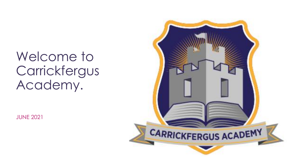## Welcome to Carrickfergus Academy.

JUNE 2021

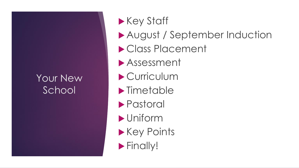#### Your New **School**

- **Key Staff**
- August / September Induction
- Class Placement
- Assessment
- Curriculum
- **Imetable**
- Pastoral
- Uniform
- **Key Points**
- **Finally!**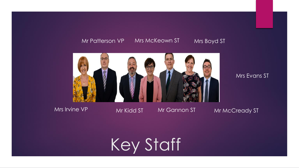#### Mr Patterson VP Mrs McKeown ST Mrs Boyd ST



#### Mrs Evans ST

#### Mrs Irvine VP

Mr Kidd ST

Mr Gannon ST

Mr McCready ST

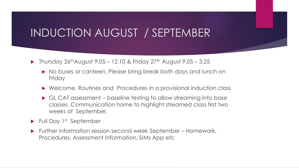### INDUCTION AUGUST / SEPTEMBER

- $\blacktriangleright$  Thursday 26<sup>th</sup>August 9.05 12.10 & Friday 27<sup>th</sup> August 9.05 3.25
	- ▶ No buses or canteen. Please bring break both days and lunch on **Friday**
	- Welcome, Routines and Procedures in a provisional induction class
	- GL CAT assessment baseline testing to allow streaming into base classes. Communication home to highlight streamed class first two weeks of September.
- $\blacktriangleright$  Full Day 1st September
- Further information session second week September Homework, Procedures, Assessment Information, SIMs App etc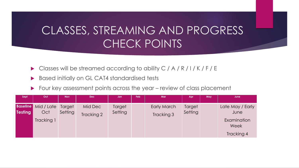## CLASSES, STREAMING AND PROGRESS CHECK POINTS

- Classes will be streamed according to ability C / A / R / I / K / F / E
- **Based initially on GL CAT4 standardised tests**
- Four key assessment points across the year review of class placement

| Sept           | Oct                                             | <b>Nov</b>        | <b>Dec</b>            | Jan               | Feb | Mar                       | Apr               | May | June                                            |
|----------------|-------------------------------------------------|-------------------|-----------------------|-------------------|-----|---------------------------|-------------------|-----|-------------------------------------------------|
| <b>Testing</b> | <b>Baseline</b> Mid / Late<br>Oct<br>Tracking 1 | Target<br>Setting | Mid Dec<br>Tracking 2 | Target<br>Setting |     | Early March<br>Tracking 3 | Target<br>Setting |     | Late May / Early<br>June<br>Examination<br>Week |
|                |                                                 |                   |                       |                   |     |                           |                   |     | Tracking 4                                      |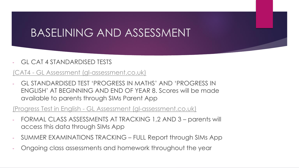## BASELINING AND ASSESSMENT

#### GL CAT 4 STANDARDISED TESTS

#### (CAT4 - [GL Assessment \(gl-assessment.co.uk\)](https://www.gl-assessment.co.uk/assessments/cat4/#:~:text=CAT4%20-%20GL%20Assessment%20CAT4%20A%20child%E2%80%99s%20verbal,with%20a%20rounded%20profile%20of%20the%20whole%20child.)

- GL STANDARDISED TEST 'PROGRESS IN MATHS' AND 'PROGRESS IN ENGLISH' AT BEGINNING AND END OF YEAR 8. Scores will be made available to parents through SIMs Parent App

#### (Progress Test in English - [GL Assessment \(gl-assessment.co.uk\)](https://www.gl-assessment.co.uk/assessments/progress-test-in-english/)

- FORMAL CLASS ASSESSMENTS AT TRACKING 1,2 AND 3 parents will access this data through SIMs App
- SUMMER EXAMINATIONS TRACKING FULL Report through SIMs App
- Ongoing class assessments and homework throughout the year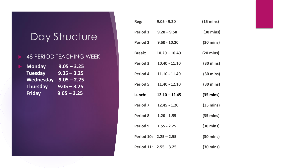#### Day Structure

#### 48 PERIOD TEACHING WEEK

| <b>Monday</b>   | $9.05 - 3.25$ |
|-----------------|---------------|
| <b>Tuesday</b>  | $9.05 - 3.25$ |
| Wednesday       | $9.05 - 2.25$ |
| <b>Thursday</b> | $9.05 - 3.25$ |
| <b>Friday</b>   | $9.05 - 3.25$ |

| Reg:             | $9.05 - 9.20$          | $(15 \text{ mins})$ |
|------------------|------------------------|---------------------|
| Period 1:        | $9.20 - 9.50$          | $(30 \text{ mins})$ |
| <b>Period 2:</b> | $9.50 - 10.20$         | $(30 \text{ mins})$ |
| <b>Break:</b>    | $10.20 - 10.40$        | $(20 \text{ mins})$ |
| <b>Period 3:</b> | $10.40 - 11.10$        | $(30 \text{ mins})$ |
| <b>Period 4:</b> | $11.10 - 11.40$        | $(30 \text{ mins})$ |
| <b>Period 5:</b> | $11.40 - 12.10$        | $(30 \text{ mins})$ |
| Lunch:           | $12.10 - 12.45$        | $(35 \text{ mins})$ |
| <b>Period 7:</b> | $12.45 - 1.20$         | $(35 \text{ mins})$ |
| <b>Period 8:</b> | $1.20 - 1.55$          | $(35 \text{ mins})$ |
| Period 9:        | $1.55 - 2.25$          | $(30 \text{ mins})$ |
|                  | Period 10: 2.25 - 2.55 | $(30 \text{ mins})$ |
|                  | Period 11: 2.55 - 3.25 | $(30 \text{ mins})$ |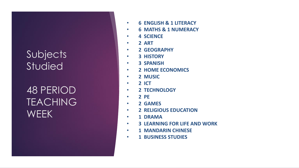#### Subjects **Studied**

48 PERIOD **TEACHING WEEK** 

- **6 ENGLISH & 1 LITERACY**
- $\bullet$ **6 MATHS & 1 NUMERACY**
- **4 SCIENCE**
- **2 ART**
- **2 GEOGRAPHY**
- $\bullet$ **3 HISTORY**
- **3 SPANISH**
- **2 HOME ECONOMICS**
- **2 MUSIC**
	- **2 ICT**

•

- **2 TECHNOLOGY**
- **2 PE**
- **2 GAMES**
- **2 RELIGIOUS EDUCATION**
- **1 DRAMA**
- **3 LEARNING FOR LIFE AND WORK**
- **1 MANDARIN CHINESE**
- $\bullet$ **1 BUSINESS STUDIES**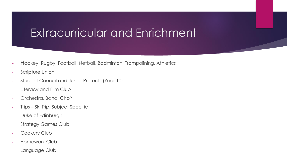## Extracurricular and Enrichment

- Hockey, Rugby, Football, Netball, Badminton, Trampolining, Athletics
- Scripture Union
- Student Council and Junior Prefects (Year 10)
- Literacy and Film Club
- Orchestra, Band, Choir
- Trips Ski Trip, Subject Specific
- Duke of Edinburgh
- Strategy Games Club
- Cookery Club
- Homework Club
- Language Club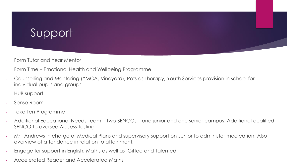## Support

- Form Tutor and Year Mentor
- Form Time Emotional Health and Wellbeing Programme
- Counselling and Mentoring (YMCA, Vineyard), Pets as Therapy, Youth Services provision in school for individual pupils and groups
- HUB support
- Sense Room
- Take Ten Programme
- Additional Educational Needs Team Two SENCOs one junior and one senior campus. Additional qualified SENCO to oversee Access Testing
- Mr I Andrews in charge of Medical Plans and supervisory support on Junior to administer medication. Also overview of attendance in relation to attainment.
- Engage for support in English, Maths as well as Gifted and Talented
- Accelerated Reader and Accelerated Maths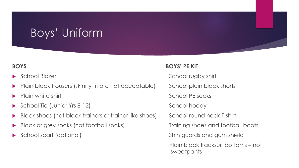## Boys' Uniform

- 
- Plain black trousers (skinny fit are not acceptable) School plain black shorts
- 
- School Tie (Junior Yrs 8-12) School hoody
- Black shoes (not black trainers or trainer like shoes) School round neck T-shirt
- Black or grey socks (not football socks) Training shoes and football boots
- 

#### **BOYS BOYS' PE KIT**

School Blazer School rugby shirt

Plain white shirt **School PE socks** Plain white shirt School PE socks

School scarf (optional) Shin guards and gum shield

Plain black tracksuit bottoms – not sweatpants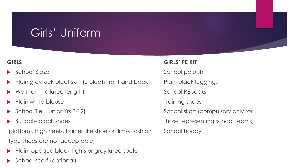## Girls' Uniform

- 
- Plain grey kick pleat skirt (2 pleats front and back Plain black leggings
- Worn at mid knee length) School PE socks
- Plain white blouse **Training shoes** Training shoes
- 
- 

(platform, high heels, trainer like shoe or flimsy fashion School hoody type shoes are not acceptable)

- Plain, opaque black tights or grey knee socks
- School scarf (optional)

#### **GIRLS GIRLS' PE KIT**

School Blazer School polo shirt

School Tie (Junior Yrs 8-12) School skort (compulsory only for

Suitable black shoes those representing school teams)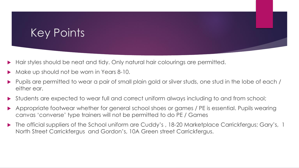- Hair styles should be neat and tidy. Only natural hair colourings are permitted.
- Make up should not be worn in Years 8-10.
- Pupils are permitted to wear a pair of small plain gold or silver studs, one stud in the lobe of each / either ear.
- Students are expected to wear full and correct uniform always including to and from school;
- Appropriate footwear whether for general school shoes or games / PE is essential. Pupils wearing canvas 'converse' type trainers will not be permitted to do PE / Games
- The official suppliers of the School uniform are Cuddy's , 18-20 Marketplace Carrickfergus; Gary's, 1 North Street Carrickfergus and Gordon's, 10A Green street Carrickfergus.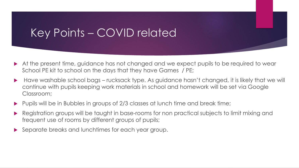#### Key Points – COVID related

- At the present time, guidance has not changed and we expect pupils to be required to wear School PE kit to school on the days that they have Games / PE;
- Have washable school bags rucksack type. As guidance hasn't changed, it is likely that we will continue with pupils keeping work materials in school and homework will be set via Google Classroom;
- Pupils will be in Bubbles in groups of 2/3 classes at lunch time and break time;
- Registration groups will be taught in base-rooms for non practical subjects to limit mixing and frequent use of rooms by different groups of pupils;
- Separate breaks and lunchtimes for each year group.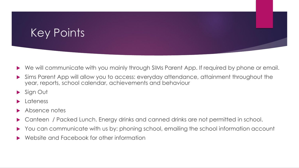- We will communicate with you mainly through SIMs Parent App. If required by phone or email.
- Sims Parent App will allow you to access: everyday attendance, attainment throughout the year, reports, school calendar, achievements and behaviour
- Sign Out
- Lateness
- Absence notes
- Canteen / Packed Lunch. Energy drinks and canned drinks are not permitted in school.
- You can communicate with us by: phoning school, emailing the school information account
- Website and Facebook for other information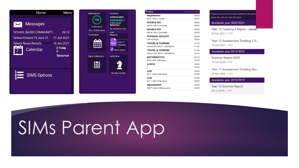



| Today                         | 21st June 2021 |
|-------------------------------|----------------|
| Registration                  | 09:05          |
| SB7   Mrs L Jordan            | 09:20          |
| <b>DOUBLE-SCI</b>             | 09:20          |
| SB19   Ms C Donnelly          | 09:50          |
| <b>DOUBLE-SCI</b>             | 09:50          |
| SB19   Ms C Donnelly          | 10:20          |
| PHYSICAL EDUCATI              | 10:20          |
| Mr R Press                    | 10:50          |
| <b>TRAVEL &amp; TOURISM</b>   | 11:10          |
| Library SS   Mr P J Middleton | 11:40          |
| <b>TRAVEL &amp; TOURISM</b>   | 11:40          |
| Library SS   Mr P J Middleton | 12:10          |
| <b>MATHEMATICS</b>            | 12:10          |
| N15   Mrs J Bowers            | 12:45          |
| <b>LUNCH</b>                  | 12:45          |
| ı                             | 13:20          |
| LLW                           | 13:20          |
| W11   Mrs D McClure           | 13:55          |
| LLW                           | 13:55          |
| W11   Mrs D McClure           | 14:25          |
| <b>GEOGRAPHY</b>              | 14:25          |
| SB17   Mrs R Macquarrie       | 14:55          |

Please ensure that you have installed a documen viewer for .pdf and .doc file types.

Academic year 2020/2021

Year 12 Tracking 2 Report - Januar... 02 Feb 2021 | PDF

Year 12 Assessment Tracking 1 O... 15 Oct 2020 | PDF

Academic year 2019/2020

Summer Report 2020 18 Jun 2020 | PDF

Year 11 Assessment Tracking Res... 06 Mar 2020 | PDF

Academic year 2018/2019

Year 10 Summer Report 08 Jul 2019 | PDF

# SIMs Parent App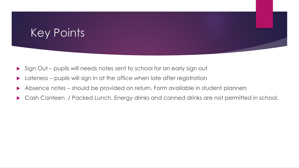- Sign Out pupils will needs notes sent to school for an early sign out
- Lateness pupils will sign in at the office when late after registration
- Absence notes should be provided on return. Form available in student planners
- Cash Canteen / Packed Lunch. Energy drinks and canned drinks are not permitted in school.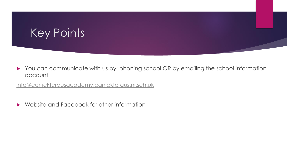You can communicate with us by: phoning school OR by emailing the school information account

[info@carrickfergusacademy.carrickfergus.ni.sch.uk](mailto:info@carrickfergusacademy.carrickfergus.ni.sch.uk)

▶ Website and Facebook for other information